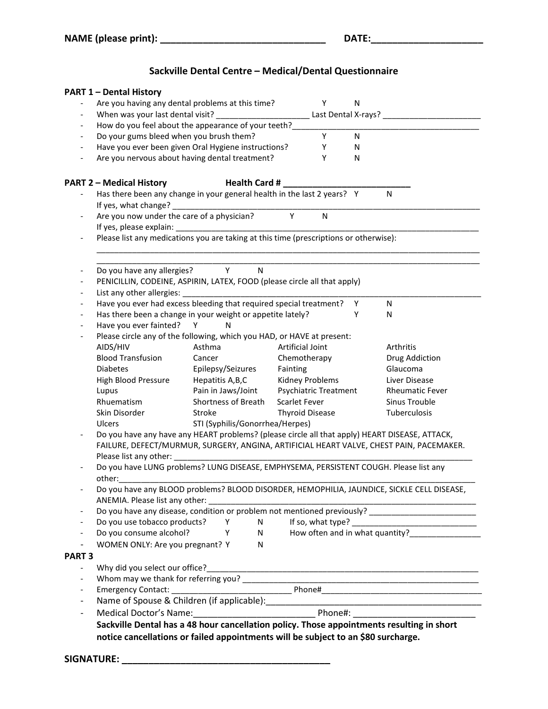## **Sackville Dental Centre – Medical/Dental Questionnaire**

|                          | <b>PART 1 - Dental History</b>                                                        |                                                                                                |                        |           |                                                                                                    |  |  |
|--------------------------|---------------------------------------------------------------------------------------|------------------------------------------------------------------------------------------------|------------------------|-----------|----------------------------------------------------------------------------------------------------|--|--|
|                          |                                                                                       | Are you having any dental problems at this time?                                               |                        | Y<br>N    |                                                                                                    |  |  |
| $\overline{\phantom{a}}$ |                                                                                       | When was your last dental visit? _________________                                             |                        |           |                                                                                                    |  |  |
| $\overline{\phantom{a}}$ |                                                                                       | How do you feel about the appearance of your teeth?                                            |                        |           |                                                                                                    |  |  |
| $\overline{\phantom{a}}$ | Do your gums bleed when you brush them?                                               |                                                                                                |                        | Y<br>N    |                                                                                                    |  |  |
| $\overline{\phantom{a}}$ |                                                                                       | Have you ever been given Oral Hygiene instructions?                                            |                        | Υ<br>N    |                                                                                                    |  |  |
|                          |                                                                                       | Are you nervous about having dental treatment?                                                 |                        | Y<br>N    |                                                                                                    |  |  |
|                          |                                                                                       |                                                                                                |                        |           |                                                                                                    |  |  |
|                          | <b>PART 2 - Medical History</b>                                                       | Health Card #                                                                                  |                        |           |                                                                                                    |  |  |
|                          | If yes, what change?                                                                  | Has there been any change in your general health in the last 2 years? Y                        |                        |           | N                                                                                                  |  |  |
|                          | Are you now under the care of a physician?                                            |                                                                                                | Y                      | ${\sf N}$ |                                                                                                    |  |  |
|                          |                                                                                       |                                                                                                |                        |           |                                                                                                    |  |  |
|                          | Please list any medications you are taking at this time (prescriptions or otherwise): |                                                                                                |                        |           |                                                                                                    |  |  |
|                          | Do you have any allergies?                                                            | Y<br>$\mathsf{N}$                                                                              |                        |           |                                                                                                    |  |  |
|                          |                                                                                       | PENICILLIN, CODEINE, ASPIRIN, LATEX, FOOD (please circle all that apply)                       |                        |           |                                                                                                    |  |  |
|                          |                                                                                       | List any other allergies: List any other allergies:                                            |                        |           |                                                                                                    |  |  |
|                          |                                                                                       | Have you ever had excess bleeding that required special treatment?                             |                        | Y         | N                                                                                                  |  |  |
|                          |                                                                                       | Has there been a change in your weight or appetite lately?                                     |                        | Y         | N                                                                                                  |  |  |
|                          | Have you ever fainted?                                                                | Y<br>N                                                                                         |                        |           |                                                                                                    |  |  |
|                          |                                                                                       |                                                                                                |                        |           |                                                                                                    |  |  |
|                          |                                                                                       | Please circle any of the following, which you HAD, or HAVE at present:                         |                        |           |                                                                                                    |  |  |
|                          | AIDS/HIV                                                                              | Asthma                                                                                         | Artificial Joint       |           | Arthritis                                                                                          |  |  |
|                          | <b>Blood Transfusion</b>                                                              | Cancer                                                                                         | Chemotherapy           |           | Drug Addiction                                                                                     |  |  |
|                          | <b>Diabetes</b>                                                                       | Epilepsy/Seizures                                                                              | Fainting               |           | Glaucoma                                                                                           |  |  |
|                          | High Blood Pressure                                                                   | Hepatitis A, B, C                                                                              | Kidney Problems        |           | Liver Disease                                                                                      |  |  |
|                          | Lupus                                                                                 | Pain in Jaws/Joint                                                                             | Psychiatric Treatment  |           | <b>Rheumatic Fever</b>                                                                             |  |  |
|                          | Rhuematism                                                                            | Shortness of Breath                                                                            | Scarlet Fever          |           | Sinus Trouble                                                                                      |  |  |
|                          | Skin Disorder                                                                         | Stroke                                                                                         | <b>Thyroid Disease</b> |           | Tuberculosis                                                                                       |  |  |
|                          | <b>Ulcers</b>                                                                         | STI (Syphilis/Gonorrhea/Herpes)                                                                |                        |           |                                                                                                    |  |  |
|                          |                                                                                       | Do you have any have any HEART problems? (please circle all that apply) HEART DISEASE, ATTACK, |                        |           | FAILURE, DEFECT/MURMUR, SURGERY, ANGINA, ARTIFICIAL HEART VALVE, CHEST PAIN, PACEMAKER.            |  |  |
|                          | Please list any other:                                                                | Do you have LUNG problems? LUNG DISEASE, EMPHYSEMA, PERSISTENT COUGH. Please list any          |                        |           |                                                                                                    |  |  |
|                          | other:                                                                                |                                                                                                |                        |           |                                                                                                    |  |  |
|                          | ANEMIA. Please list any other:                                                        | <u> 1989 - Johann Barnett, fransk politiker</u>                                                |                        |           | Do you have any BLOOD problems? BLOOD DISORDER, HEMOPHILIA, JAUNDICE, SICKLE CELL DISEASE,         |  |  |
|                          |                                                                                       |                                                                                                |                        |           | Do you have any disease, condition or problem not mentioned previously? __________________________ |  |  |
|                          | Do you use tobacco products?                                                          | Y<br>N                                                                                         |                        |           |                                                                                                    |  |  |
|                          | Do you consume alcohol?                                                               | Y<br>N                                                                                         |                        |           | How often and in what quantity?_________________                                                   |  |  |
| $\overline{\phantom{0}}$ | WOMEN ONLY: Are you pregnant? Y                                                       | N                                                                                              |                        |           |                                                                                                    |  |  |
| <b>PART 3</b>            |                                                                                       |                                                                                                |                        |           |                                                                                                    |  |  |
|                          |                                                                                       |                                                                                                |                        |           |                                                                                                    |  |  |
|                          |                                                                                       |                                                                                                |                        |           |                                                                                                    |  |  |
|                          |                                                                                       |                                                                                                |                        |           |                                                                                                    |  |  |
| $\overline{\phantom{0}}$ |                                                                                       |                                                                                                |                        |           |                                                                                                    |  |  |
| $\overline{\phantom{a}}$ |                                                                                       |                                                                                                |                        |           |                                                                                                    |  |  |
|                          |                                                                                       | Sackville Dental has a 48 hour cancellation policy. Those appointments resulting in short      |                        |           |                                                                                                    |  |  |